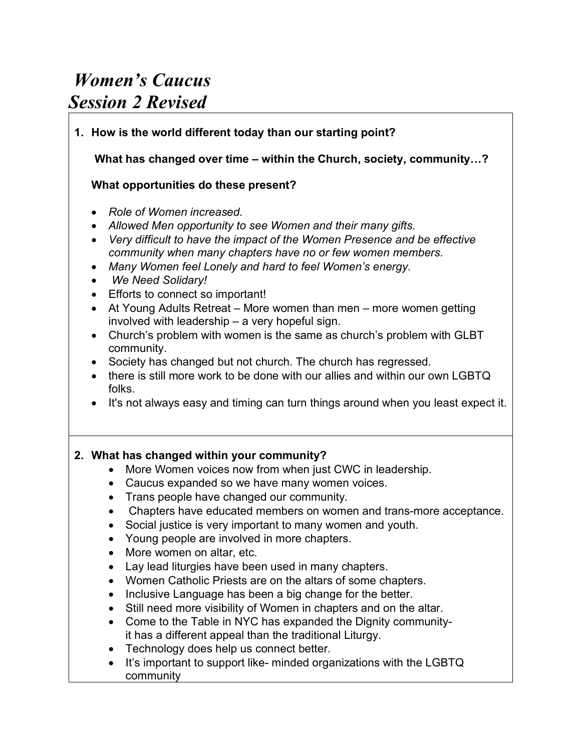# *Women's Caucus Session 2 Revised*

## **1. How is the world different today than our starting point?**

**What has changed over time – within the Church, society, community…?** 

#### **What opportunities do these present?**

- *Role of Women increased.*
- *Allowed Men opportunity to see Women and their many gifts.*
- *Very difficult to have the impact of the Women Presence and be effective community when many chapters have no or few women members.*
- *Many Women feel Lonely and hard to feel Women's energy.*
- *We Need Solidary!*
- Efforts to connect so important!
- At Young Adults Retreat More women than men more women getting involved with leadership – a very hopeful sign.
- Church's problem with women is the same as church's problem with GLBT community.
- Society has changed but not church. The church has regressed.
- there is still more work to be done with our allies and within our own LGBTQ folks.
- It's not always easy and timing can turn things around when you least expect it.

## **2. What has changed within your community?**

- More Women voices now from when just CWC in leadership.
- Caucus expanded so we have many women voices.
- Trans people have changed our community.
- Chapters have educated members on women and trans-more acceptance.
- Social justice is very important to many women and youth.
- Young people are involved in more chapters.
- More women on altar, etc.
- Lay lead liturgies have been used in many chapters.
- Women Catholic Priests are on the altars of some chapters.
- Inclusive Language has been a big change for the better.
- Still need more visibility of Women in chapters and on the altar.
- Come to the Table in NYC has expanded the Dignity communityit has a different appeal than the traditional Liturgy.
- Technology does help us connect better.
- It's important to support like- minded organizations with the LGBTQ community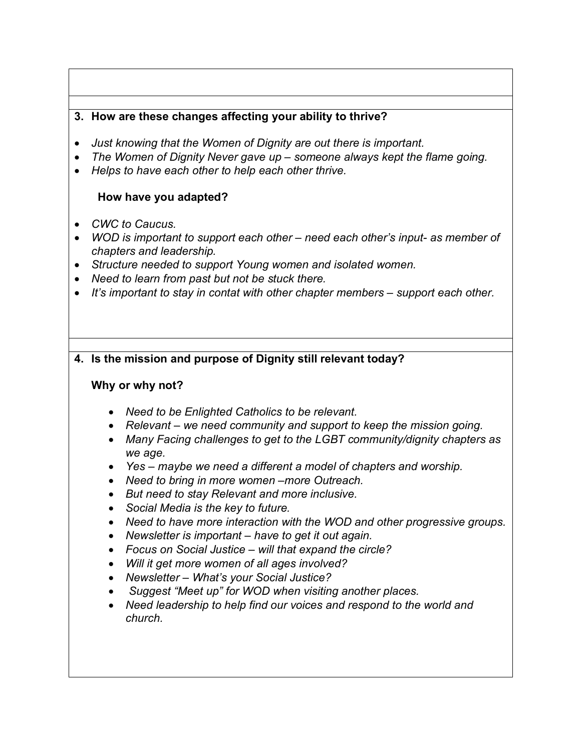## **3. How are these changes affecting your ability to thrive?**

- *Just knowing that the Women of Dignity are out there is important.*
- *The Women of Dignity Never gave up – someone always kept the flame going.*
- *Helps to have each other to help each other thrive.*

## **How have you adapted?**

- *CWC to Caucus.*
- *WOD is important to support each other – need each other's input- as member of chapters and leadership.*
- *Structure needed to support Young women and isolated women.*
- *Need to learn from past but not be stuck there.*
- *It's important to stay in contat with other chapter members – support each other.*

## **4. Is the mission and purpose of Dignity still relevant today?**

#### **Why or why not?**

- *Need to be Enlighted Catholics to be relevant.*
- *Relevant – we need community and support to keep the mission going.*
- *Many Facing challenges to get to the LGBT community/dignity chapters as we age.*
- *Yes – maybe we need a different a model of chapters and worship.*
- *Need to bring in more women –more Outreach.*
- *But need to stay Relevant and more inclusive.*
- *Social Media is the key to future.*
- *Need to have more interaction with the WOD and other progressive groups.*
- *Newsletter is important – have to get it out again.*
- *Focus on Social Justice – will that expand the circle?*
- *Will it get more women of all ages involved?*
- *Newsletter – What's your Social Justice?*
- *Suggest "Meet up" for WOD when visiting another places.*
- *Need leadership to help find our voices and respond to the world and church.*